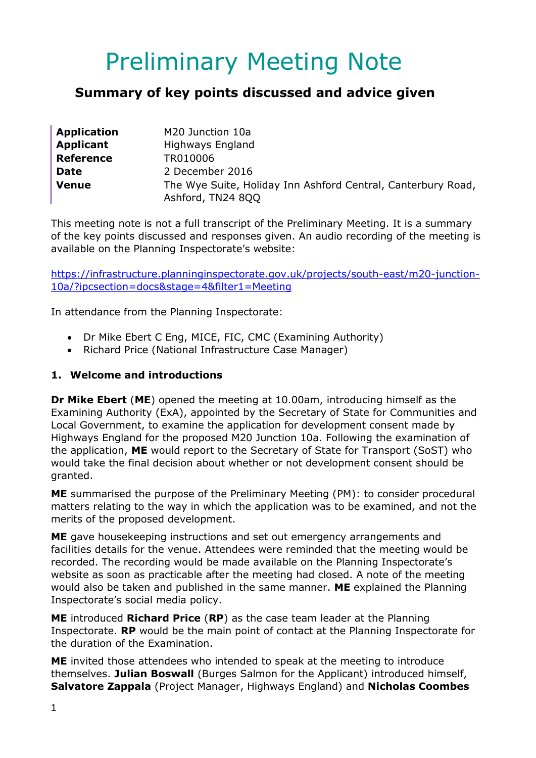# Preliminary Meeting Note

## **Summary of key points discussed and advice given**

| <b>Application</b> | M20 Junction 10a                                                                  |
|--------------------|-----------------------------------------------------------------------------------|
| <b>Applicant</b>   | Highways England                                                                  |
| <b>Reference</b>   | TR010006                                                                          |
| <b>Date</b>        | 2 December 2016                                                                   |
| <b>Venue</b>       | The Wye Suite, Holiday Inn Ashford Central, Canterbury Road,<br>Ashford, TN24 8QQ |

This meeting note is not a full transcript of the Preliminary Meeting. It is a summary of the key points discussed and responses given. An audio recording of the meeting is available on the Planning Inspectorate's website:

[https://infrastructure.planninginspectorate.gov.uk/projects/south-east/m20-junction-](https://infrastructure.planninginspectorate.gov.uk/projects/south-east/m20-junction-10a/?ipcsection=docs&stage=4&filter1=Meeting)[10a/?ipcsection=docs&stage=4&filter1=Meeting](https://infrastructure.planninginspectorate.gov.uk/projects/south-east/m20-junction-10a/?ipcsection=docs&stage=4&filter1=Meeting)

In attendance from the Planning Inspectorate:

- Dr Mike Ebert C Eng, MICE, FIC, CMC (Examining Authority)
- Richard Price (National Infrastructure Case Manager)

#### **1. Welcome and introductions**

**Dr Mike Ebert** (**ME**) opened the meeting at 10.00am, introducing himself as the Examining Authority (ExA), appointed by the Secretary of State for Communities and Local Government, to examine the application for development consent made by Highways England for the proposed M20 Junction 10a. Following the examination of the application, **ME** would report to the Secretary of State for Transport (SoST) who would take the final decision about whether or not development consent should be granted.

**ME** summarised the purpose of the Preliminary Meeting (PM): to consider procedural matters relating to the way in which the application was to be examined, and not the merits of the proposed development.

**ME** gave housekeeping instructions and set out emergency arrangements and facilities details for the venue. Attendees were reminded that the meeting would be recorded. The recording would be made available on the Planning Inspectorate's website as soon as practicable after the meeting had closed. A note of the meeting would also be taken and published in the same manner. **ME** explained the Planning Inspectorate's social media policy.

**ME** introduced **Richard Price** (**RP**) as the case team leader at the Planning Inspectorate. **RP** would be the main point of contact at the Planning Inspectorate for the duration of the Examination.

**ME** invited those attendees who intended to speak at the meeting to introduce themselves. **Julian Boswall** (Burges Salmon for the Applicant) introduced himself, **Salvatore Zappala** (Project Manager, Highways England) and **Nicholas Coombes**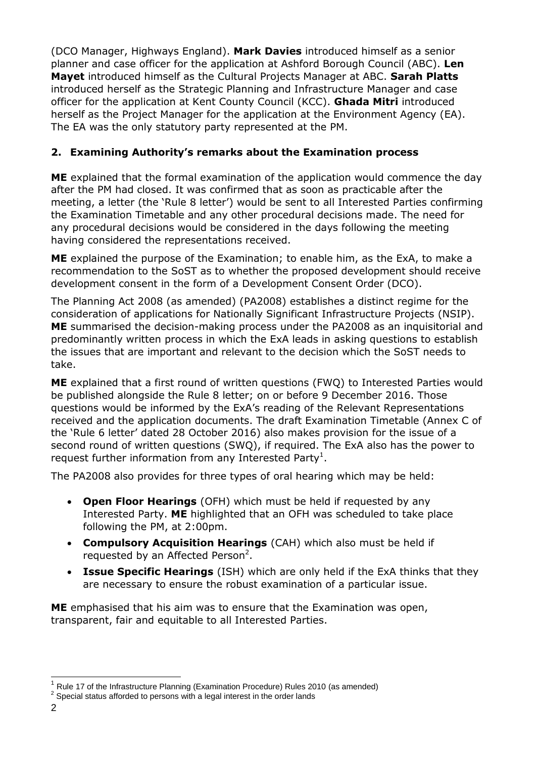(DCO Manager, Highways England). **Mark Davies** introduced himself as a senior planner and case officer for the application at Ashford Borough Council (ABC). **Len Mayet** introduced himself as the Cultural Projects Manager at ABC. **Sarah Platts** introduced herself as the Strategic Planning and Infrastructure Manager and case officer for the application at Kent County Council (KCC). **Ghada Mitri** introduced herself as the Project Manager for the application at the Environment Agency (EA). The EA was the only statutory party represented at the PM.

## **2. Examining Authority's remarks about the Examination process**

**ME** explained that the formal examination of the application would commence the day after the PM had closed. It was confirmed that as soon as practicable after the meeting, a letter (the 'Rule 8 letter') would be sent to all Interested Parties confirming the Examination Timetable and any other procedural decisions made. The need for any procedural decisions would be considered in the days following the meeting having considered the representations received.

**ME** explained the purpose of the Examination; to enable him, as the ExA, to make a recommendation to the SoST as to whether the proposed development should receive development consent in the form of a Development Consent Order (DCO).

The Planning Act 2008 (as amended) (PA2008) establishes a distinct regime for the consideration of applications for Nationally Significant Infrastructure Projects (NSIP). **ME** summarised the decision-making process under the PA2008 as an inquisitorial and predominantly written process in which the ExA leads in asking questions to establish the issues that are important and relevant to the decision which the SoST needs to take.

**ME** explained that a first round of written questions (FWQ) to Interested Parties would be published alongside the Rule 8 letter; on or before 9 December 2016. Those questions would be informed by the ExA's reading of the Relevant Representations received and the application documents. The draft Examination Timetable (Annex C of the 'Rule 6 letter' dated 28 October 2016) also makes provision for the issue of a second round of written questions (SWQ), if required. The ExA also has the power to request further information from any Interested Party<sup>1</sup>.

The PA2008 also provides for three types of oral hearing which may be held:

- **Open Floor Hearings** (OFH) which must be held if requested by any Interested Party. **ME** highlighted that an OFH was scheduled to take place following the PM, at 2:00pm.
- **Compulsory Acquisition Hearings** (CAH) which also must be held if requested by an Affected Person<sup>2</sup>.
- **Issue Specific Hearings** (ISH) which are only held if the ExA thinks that they are necessary to ensure the robust examination of a particular issue.

**ME** emphasised that his aim was to ensure that the Examination was open, transparent, fair and equitable to all Interested Parties.

-

<sup>1</sup> Rule 17 of the Infrastructure Planning (Examination Procedure) Rules 2010 (as amended)

 $2$  Special status afforded to persons with a legal interest in the order lands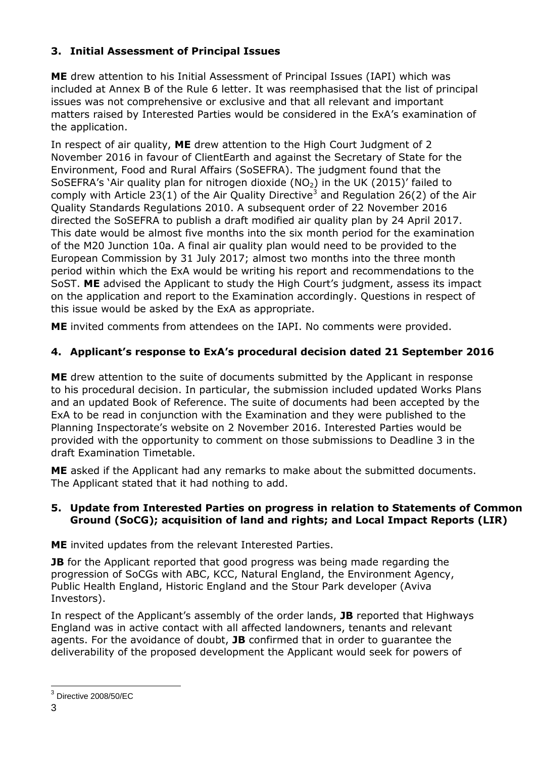## **3. Initial Assessment of Principal Issues**

**ME** drew attention to his Initial Assessment of Principal Issues (IAPI) which was included at Annex B of the Rule 6 letter. It was reemphasised that the list of principal issues was not comprehensive or exclusive and that all relevant and important matters raised by Interested Parties would be considered in the ExA's examination of the application.

In respect of air quality, **ME** drew attention to the High Court Judgment of 2 November 2016 in favour of ClientEarth and against the Secretary of State for the Environment, Food and Rural Affairs (SoSEFRA). The judgment found that the SoSEFRA's 'Air quality plan for nitrogen dioxide ( $NO<sub>2</sub>$ ) in the UK (2015)' failed to comply with Article 23(1) of the Air Quality Directive<sup>3</sup> and Regulation 26(2) of the Air Quality Standards Regulations 2010. A subsequent order of 22 November 2016 directed the SoSEFRA to publish a draft modified air quality plan by 24 April 2017. This date would be almost five months into the six month period for the examination of the M20 Junction 10a. A final air quality plan would need to be provided to the European Commission by 31 July 2017; almost two months into the three month period within which the ExA would be writing his report and recommendations to the SoST. **ME** advised the Applicant to study the High Court's judgment, assess its impact on the application and report to the Examination accordingly. Questions in respect of this issue would be asked by the ExA as appropriate.

**ME** invited comments from attendees on the IAPI. No comments were provided.

## **4. Applicant's response to ExA's procedural decision dated 21 September 2016**

**ME** drew attention to the suite of documents submitted by the Applicant in response to his procedural decision. In particular, the submission included updated Works Plans and an updated Book of Reference. The suite of documents had been accepted by the ExA to be read in conjunction with the Examination and they were published to the Planning Inspectorate's website on 2 November 2016. Interested Parties would be provided with the opportunity to comment on those submissions to Deadline 3 in the draft Examination Timetable.

**ME** asked if the Applicant had any remarks to make about the submitted documents. The Applicant stated that it had nothing to add.

#### **5. Update from Interested Parties on progress in relation to Statements of Common Ground (SoCG); acquisition of land and rights; and Local Impact Reports (LIR)**

**ME** invited updates from the relevant Interested Parties.

**JB** for the Applicant reported that good progress was being made regarding the progression of SoCGs with ABC, KCC, Natural England, the Environment Agency, Public Health England, Historic England and the Stour Park developer (Aviva Investors).

In respect of the Applicant's assembly of the order lands, **JB** reported that Highways England was in active contact with all affected landowners, tenants and relevant agents. For the avoidance of doubt, **JB** confirmed that in order to guarantee the deliverability of the proposed development the Applicant would seek for powers of

 3 Directive 2008/50/EC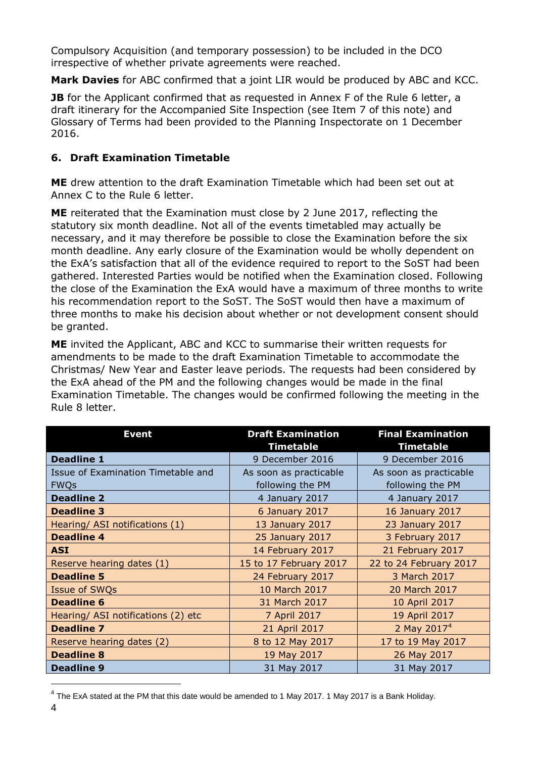Compulsory Acquisition (and temporary possession) to be included in the DCO irrespective of whether private agreements were reached.

**Mark Davies** for ABC confirmed that a joint LIR would be produced by ABC and KCC.

**JB** for the Applicant confirmed that as requested in Annex F of the Rule 6 letter, a draft itinerary for the Accompanied Site Inspection (see Item 7 of this note) and Glossary of Terms had been provided to the Planning Inspectorate on 1 December 2016.

## **6. Draft Examination Timetable**

**ME** drew attention to the draft Examination Timetable which had been set out at Annex C to the Rule 6 letter.

**ME** reiterated that the Examination must close by 2 June 2017, reflecting the statutory six month deadline. Not all of the events timetabled may actually be necessary, and it may therefore be possible to close the Examination before the six month deadline. Any early closure of the Examination would be wholly dependent on the ExA's satisfaction that all of the evidence required to report to the SoST had been gathered. Interested Parties would be notified when the Examination closed. Following the close of the Examination the ExA would have a maximum of three months to write his recommendation report to the SoST. The SoST would then have a maximum of three months to make his decision about whether or not development consent should be granted.

**ME** invited the Applicant, ABC and KCC to summarise their written requests for amendments to be made to the draft Examination Timetable to accommodate the Christmas/ New Year and Easter leave periods. The requests had been considered by the ExA ahead of the PM and the following changes would be made in the final Examination Timetable. The changes would be confirmed following the meeting in the Rule 8 letter.

| <b>Event</b>                       | <b>Draft Examination</b><br><b>Timetable</b> | <b>Final Examination</b><br><b>Timetable</b> |
|------------------------------------|----------------------------------------------|----------------------------------------------|
| <b>Deadline 1</b>                  | 9 December 2016                              | 9 December 2016                              |
| Issue of Examination Timetable and | As soon as practicable                       | As soon as practicable                       |
| <b>FWQs</b>                        | following the PM                             | following the PM                             |
| <b>Deadline 2</b>                  | 4 January 2017                               | 4 January 2017                               |
| <b>Deadline 3</b>                  | 6 January 2017                               | 16 January 2017                              |
| Hearing/ ASI notifications (1)     | 13 January 2017                              | 23 January 2017                              |
| <b>Deadline 4</b>                  | 25 January 2017                              | 3 February 2017                              |
| <b>ASI</b>                         | 14 February 2017                             | 21 February 2017                             |
| Reserve hearing dates (1)          | 15 to 17 February 2017                       | 22 to 24 February 2017                       |
| <b>Deadline 5</b>                  | 24 February 2017                             | 3 March 2017                                 |
| Issue of SWQs                      | 10 March 2017                                | 20 March 2017                                |
| <b>Deadline 6</b>                  | 31 March 2017                                | 10 April 2017                                |
| Hearing/ ASI notifications (2) etc | 7 April 2017                                 | 19 April 2017                                |
| <b>Deadline 7</b>                  | 21 April 2017                                | 2 May $20174$                                |
| Reserve hearing dates (2)          | 8 to 12 May 2017                             | 17 to 19 May 2017                            |
| <b>Deadline 8</b>                  | 19 May 2017                                  | 26 May 2017                                  |
| <b>Deadline 9</b>                  | 31 May 2017                                  | 31 May 2017                                  |

 $^{4}$  The ExA stated at the PM that this date would be amended to 1 May 2017. 1 May 2017 is a Bank Holiday.

-